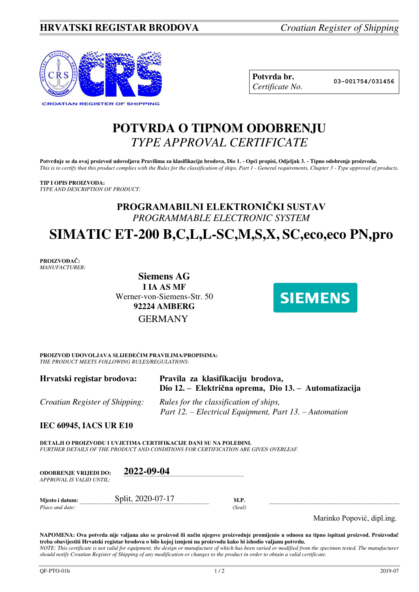

| Potvrda br.     |
|-----------------|
| Certificate No. |

**Potvrda br. 03-001754/031456**

## **POTVRDA O TIPNOM ODOBRENJU**  *TYPE APPROVAL CERTIFICATE*

Potvrđuje se da ovaj proizvod udovoljava Pravilima za klasifikaciju brodova, Dio 1. - Opći propisi, Odjeljak 3. - Tipno odobrenje proizvoda. *This is to certify that this product complies with the Rules for the classification of ships, Part 1 - General requirements, Chapter 3 - Type approval of products.* 

**TIP I OPIS PROIZVODA:** *TYPE AND DESCRIPTION OF PRODUCT:* 

## **PROGRAMABILNI ELEKTRONIČKI SUSTAV** *PROGRAMMABLE ELECTRONIC SYSTEM*

# **SIMATIC ET-200 B,C,L,L-SC,M,S,X, SC,eco,eco PN,pro**

**PROIZVOĐAČ:** *MANUFACTURER:*

> **Siemens AG I IA AS MF**  Werner-von-Siemens-Str. 50 **92224 AMBERG** GERMANY



**PROIZVOD UDOVOLJAVA SLIJEDEĆIM PRAVILIMA/PROPISIMA:** *THE PRODUCT MEETS FOLLOWING RULES/REGULATIONS:* 

| Hrvatski registar brodova:     | Pravila za klasifikaciju brodova,<br>Dio 12. – Električna oprema, Dio 13. – Automatizacija       |
|--------------------------------|--------------------------------------------------------------------------------------------------|
| Croatian Register of Shipping: | Rules for the classification of ships,<br>Part 12. – Electrical Equipment, Part 13. – Automation |

**IEC 60945, IACS UR E10** 

**DETALJI O PROIZVODU I UVJETIMA CERTIFIKACIJE DANI SU NA POLEĐINI.** *FURTHER DETAILS OF THE PRODUCT AND CONDITIONS FOR CERTIFICATION ARE GIVEN OVERLEAF.* 

| <b>ODOBRENJE VRLJEDI DO:</b><br>APPROVAL IS VALID UNTIL: | 2022-09-04        |                |  |
|----------------------------------------------------------|-------------------|----------------|--|
| Miesto i datum:<br>Place and date:                       | Split, 2020-07-17 | M.P.<br>(Seal) |  |

Marinko Popović, dipl.ing.

**NAPOMENA: Ova potvrda nije valjana ako se proizvod ili način njegove proizvodnje promijenio u odnosu na tipno ispitani proizvod. Proizvođač treba obavijestiti Hrvatski registar brodova o bilo kojoj izmjeni na proizvodu kako bi ishodio valjanu potvrdu.**  *NOTE: This certificate is not valid for equipment, the design or manufacture of which has been varied or modified from the specimen tested. The manufacturer should notify Croatian Register of Shipping of any modification or changes to the product in order to obtain a valid certificate.*